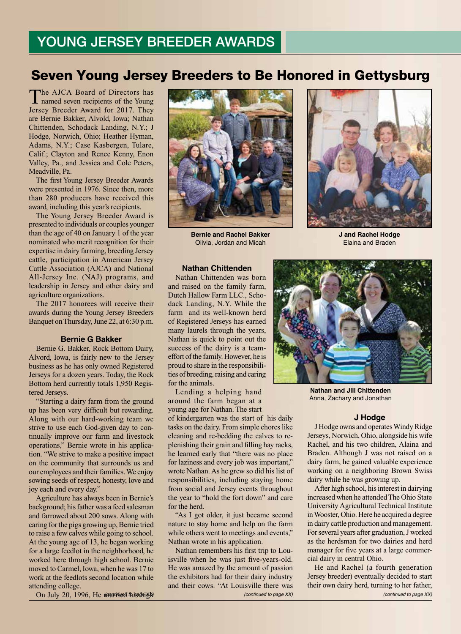# YOUNG JERSEY BREEDER AWARDS

# Seven Young Jersey Breeders to Be Honored in Gettysburg

The AJCA Board of Directors has named seven recipients of the Young Jersey Breeder Award for 2017. They are Bernie Bakker, Alvold, Iowa; Nathan Chittenden, Schodack Landing, N.Y.; J Hodge, Norwich, Ohio; Heather Hyman, Adams, N.Y.; Case Kasbergen, Tulare, Calif.; Clayton and Renee Kenny, Enon Valley, Pa., and Jessica and Cole Peters, Meadville, Pa.

The first Young Jersey Breeder Awards were presented in 1976. Since then, more than 280 producers have received this award, including this year's recipients.

The Young Jersey Breeder Award is presented to individuals or couples younger than the age of 40 on January 1 of the year nominated who merit recognition for their expertise in dairy farming, breeding Jersey cattle, participation in American Jersey Cattle Association (AJCA) and National All-Jersey Inc. (NAJ) programs, and leadership in Jersey and other dairy and agriculture organizations.

The 2017 honorees will receive their awards during the Young Jersey Breeders Banquet on Thursday, June 22, at 6:30 p.m.

### **Bernie G Bakker**

Bernie G. Bakker, Rock Bottom Dairy, Alvord, Iowa, is fairly new to the Jersey business as he has only owned Registered Jerseys for a dozen years. Today, the Rock Bottom herd currently totals 1,950 Registered Jerseys.

"Starting a dairy farm from the ground up has been very difficult but rewarding. Along with our hard-working team we strive to use each God-given day to continually improve our farm and livestock operations," Bernie wrote in his application. "We strive to make a positive impact on the community that surrounds us and our employees and their families. We enjoy sowing seeds of respect, honesty, love and joy each and every day."

Agriculture has always been in Bernie's background; his father was a feed salesman and farrowed about 200 sows. Along with caring for the pigs growing up, Bernie tried to raise a few calves while going to school. At the young age of 13, he began working for a large feedlot in the neighborhood, he worked here through high school. Bernie moved to Carmel, Iowa, when he was 17 to work at the feedlots second location while attending college.



**Bernie and Rachel Bakker** Olivia, Jordan and Micah



**J and Rachel Hodge** Elaina and Braden

### **Nathan Chittenden**

Nathan Chittenden was born and raised on the family farm, Dutch Hallow Farm LLC., Schodack Landing, N.Y. While the farm and its well-known herd of Registered Jerseys has earned many laurels through the years, Nathan is quick to point out the success of the dairy is a teameffort of the family. However, he is proud to share in the responsibilities of breeding, raising and caring for the animals.

Lending a helping hand around the farm began at a young age for Nathan. The start

of kindergarten was the start of his daily tasks on the dairy. From simple chores like cleaning and re-bedding the calves to replenishing their grain and filling hay racks, he learned early that "there was no place for laziness and every job was important," wrote Nathan. As he grew so did his list of responsibilities, including staying home from social and Jersey events throughout the year to "hold the fort down" and care for the herd.

"As I got older, it just became second nature to stay home and help on the farm while others went to meetings and events," Nathan wrote in his application.

Continued to page XX) *(continued to page XX) (continued to page XX) (continued to page XX) (continued to page XX)* Nathan remembers his first trip to Louisville when he was just five-years-old. He was amazed by the amount of passion the exhibitors had for their dairy industry and their cows. "At Louisville there was



**Nathan and Jill Chittenden** Anna, Zachary and Jonathan

## **J Hodge**

J Hodge owns and operates Windy Ridge Jerseys, Norwich, Ohio, alongside his wife Rachel, and his two children, Alaina and Braden. Although J was not raised on a dairy farm, he gained valuable experience working on a neighboring Brown Swiss dairy while he was growing up.

After high school, his interest in dairying increased when he attended The Ohio State University Agricultural Technical Institute in Wooster, Ohio. Here he acquired a degree in dairy cattle production and management. For several years after graduation, J worked as the herdsman for two dairies and herd manager for five years at a large commercial dairy in central Ohio.

He and Rachel (a fourth generation Jersey breeder) eventually decided to start their own dairy herd, turning to her father,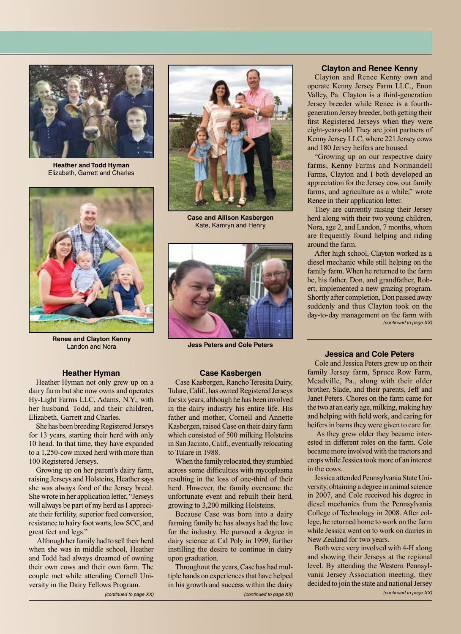

**Heather and Todd Hyman** Elizabeth, Garrett and Charles



**Renee and Clayton Kenny** Landon and Nora

### **Heather Hyman**

Heather Hyman not only grew up on a dairy farm but she now owns and operates Hy-Light Farms LLC, Adams, N.Y., with her husband, Todd, and their children, Elizabeth, Garrett and Charles.

She has been breeding Registered Jerseys for 13 years, starting their herd with only 10 head. In that time, they have expanded to a 1,250-cow mixed herd with more than 100 Registered Jerseys.

Growing up on her parent's dairy farm, raising Jerseys and Holsteins, Heather says she was always fond of the Jersey breed. She wrote in her application letter, "Jerseys will always be part of my herd as I appreciate their fertility, superior feed conversion, resistance to hairy foot warts, low SCC, and great feet and legs."

 Although her family had to sell their herd when she was in middle school, Heather and Todd had always dreamed of owning their own cows and their own farm. The couple met while attending Cornell University in the Dairy Fellows Program.

**Case and Allison Kasbergen** Kate, Kamryn and Henry



**Jess Peters and Cole Peters**

### **Case Kasbergen**

Case Kasbergen, Rancho Teresita Dairy, Tulare, Calif., has owned Registered Jerseys for six years, although he has been involved in the dairy industry his entire life. His father and mother, Cornell and Annette Kasbergen, raised Case on their dairy farm which consisted of 500 milking Holsteins in San Jacinto, Calif., eventually relocating to Tulare in 1988.

When the family relocated, they stumbled across some difficulties with mycoplasma resulting in the loss of one-third of their herd. However, the family overcame the unfortunate event and rebuilt their herd, growing to 3,200 milking Holsteins.

Because Case was born into a dairy farming family he has always had the love for the industry. He pursued a degree in dairy science at Cal Poly in 1999, further instilling the desire to continue in dairy upon graduation.

*(continued to page XX) (continued to page XX)* Throughout the years, Case has had multiple hands on experiences that have helped in his growth and success within the dairy

### **Clayton and Renee Kenny**

Clayton and Renee Kenny own and operate Kenny Jersey Farm LLC., Enon Valley, Pa. Clayton is a third-generation Jersey breeder while Renee is a fourthgeneration Jersey breeder, both getting their first Registered Jerseys when they were eight-years-old. They are joint partners of Kenny Jersey LLC, where 221 Jersey cows and 180 Jersey heifers are housed.

"Growing up on our respective dairy farms, Kenny Farms and Normandell Farms, Clayton and I both developed an appreciation for the Jersey cow, our family farms, and agriculture as a while," wrote Renee in their application letter.

They are currently raising their Jersey herd along with their two young children, Nora, age 2, and Landon, 7 months, whom are frequently found helping and riding around the farm.

*(continued to page XX)* After high school, Clayton worked as a diesel mechanic while still helping on the family farm. When he returned to the farm he, his father, Don, and grandfather, Robert, implemented a new grazing program. Shortly after completion, Don passed away suddenly and thus Clayton took on the day-to-day management on the farm with

### **Jessica and Cole Peters**

Cole and Jessica Peters grew up on their family Jersey farm, Spruce Row Farm, Meadville, Pa., along with their older brother, Slade, and their parents, Jeff and Janet Peters. Chores on the farm came for the two at an early age, milking, making hay and helping with field work, and caring for heifers in barns they were given to care for.

 As they grew older they became interested in different roles on the farm. Cole became more involved with the tractors and crops while Jessica took more of an interest in the cows.

Jessica attended Pennsylvania State University, obtaining a degree in animal science in 2007, and Cole received his degree in diesel mechanics from the Pennsylvania College of Technology in 2008. After college, he returned home to work on the farm while Jessica went on to work on dairies in New Zealand for two years.

*(continued to page XX)* Both were very involved with 4-H along and showing their Jerseys at the regional level. By attending the Western Pennsylvania Jersey Association meeting, they decided to join the state and national Jersey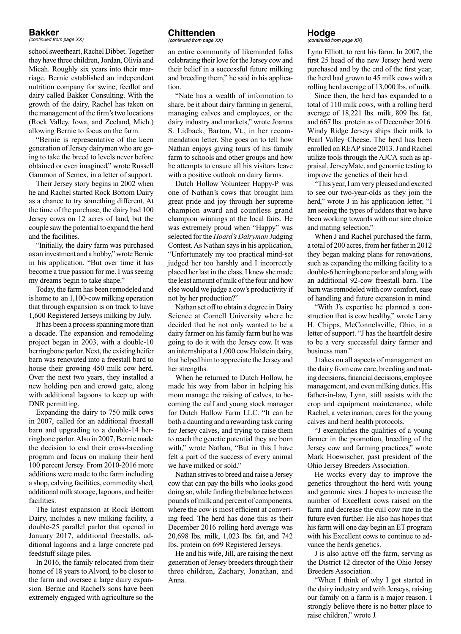# **Bakker**

*(continued from page XX)*

school sweetheart, Rachel Dibbet. Together they have three children, Jordan, Olivia and Micah. Roughly six years into their marriage. Bernie established an independent nutrition company for swine, feedlot and dairy called Bakker Consulting. With the growth of the dairy, Rachel has taken on the management of the firm's two locations (Rock Valley, Iowa, and Zeeland, Mich.) allowing Bernie to focus on the farm.

"Bernie is representative of the keen generation of Jersey dairymen who are going to take the breed to levels never before obtained or even imagined," wrote Russell Gammon of Semex, in a letter of support.

Their Jersey story begins in 2002 when he and Rachel started Rock Bottom Dairy as a chance to try something different. At the time of the purchase, the dairy had 100 Jersey cows on 12 acres of land, but the couple saw the potential to expand the herd and the facilities.

"Initially, the dairy farm was purchased as an investment and a hobby," wrote Bernie in his application. "But over time it has become a true passion for me. I was seeing my dreams begin to take shape."

Today, the farm has been remodeled and is home to an 1,100-cow milking operation that through expansion is on track to have 1,600 Registered Jerseys milking by July.

It has been a process spanning more than a decade. The expansion and remodeling project began in 2003, with a double-10 herringbone parlor. Next, the existing heifer barn was renovated into a freestall bard to house their growing 450 milk cow herd. Over the next two years, they installed a new holding pen and crowd gate, along with additional lagoons to keep up with DNR permitting.

Expanding the dairy to 750 milk cows in 2007, called for an additional freestall barn and upgrading to a double-14 herringbone parlor. Also in 2007, Bernie made the decision to end their cross-breeding program and focus on making their herd 100 percent Jersey. From 2010-2016 more additions were made to the farm including a shop, calving facilities, commodity shed, additional milk storage, lagoons, and heifer facilities.

The latest expansion at Rock Bottom Dairy, includes a new milking facility, a double-25 parallel parlor that opened in January 2017, additional freestalls, additional lagoons and a large concrete pad feedstuff silage piles.

In 2016, the family relocated from their home of 18 years to Alvord, to be closer to the farm and oversee a large dairy expansion. Bernie and Rachel's sons have been extremely engaged with agriculture so the

# **Chittenden**

*(continued from page XX)*

an entire community of likeminded folks celebrating their love for the Jersey cow and their belief in a successful future milking and breeding them," he said in his application.

"Nate has a wealth of information to share, be it about dairy farming in general, managing calves and employees, or the dairy industry and markets," wrote Joanna S. Lidback, Barton, Vt., in her recommendation letter. She goes on to tell how Nathan enjoys giving tours of his family farm to schools and other groups and how he attempts to ensure all his visitors leave with a positive outlook on dairy farms.

Dutch Hollow Volunteer Happy-P was one of Nathan's cows that brought him great pride and joy through her supreme champion award and countless grand champion winnings at the local fairs. He was extremely proud when "Happy" was selected for the *Hoard's Dairyman* Judging Contest. As Nathan says in his application, "Unfortunately my too practical mind-set judged her too harshly and I incorrectly placed her last in the class. I knew she made the least amount of milk of the four and how else would we judge a cow's productivity if not by her production?"

Nathan set off to obtain a degree in Dairy Science at Cornell University where he decided that he not only wanted to be a dairy farmer on his family farm but he was going to do it with the Jersey cow. It was an internship at a 1,000 cow Holstein dairy, that helped him to appreciate the Jersey and her strengths.

When he returned to Dutch Hollow, he made his way from labor in helping his mom manage the raising of calves, to becoming the calf and young stock manager for Dutch Hallow Farm LLC. "It can be both a daunting and a rewarding task caring for Jersey calves, and trying to raise them to reach the genetic potential they are born with," wrote Nathan, "But in this I have felt a part of the success of every animal we have milked or sold."

Nathan strives to breed and raise a Jersey cow that can pay the bills who looks good doing so, while finding the balance between pounds of milk and percent of components, where the cow is most efficient at converting feed. The herd has done this as their December 2016 rolling herd average was 20,698 lbs. milk, 1,023 lbs. fat, and 742 lbs. protein on 699 Registered Jerseys.

He and his wife, Jill, are raising the next generation of Jersey breeders through their three children, Zachary, Jonathan, and Anna.

# **Hodge**

*(continued from page XX)*

Lynn Elliott, to rent his farm. In 2007, the first 25 head of the new Jersey herd were purchased and by the end of the first year, the herd had grown to 45 milk cows with a rolling herd average of 13,000 lbs. of milk.

Since then, the herd has expanded to a total of 110 milk cows, with a rolling herd average of 18,221 lbs. milk, 809 lbs. fat, and 667 lbs. protein as of December 2016. Windy Ridge Jerseys ships their milk to Pearl Valley Cheese. The herd has been enrolled on REAP since 2013. J and Rachel utilize tools through the AJCA such as appraisal, JerseyMate, and genomic testing to improve the genetics of their herd.

"This year, I am very pleased and excited to see our two-year-olds as they join the herd," wrote J in his application letter, "I am seeing the types of udders that we have been working towards with our sire choice and mating selection."

When J and Rachel purchased the farm, a total of 200 acres, from her father in 2012 they began making plans for renovations, such as expanding the milking facility to a double-6 herringbone parlor and along with an additional 92-cow freestall barn. The barn was remodeled with cow comfort, ease of handling and future expansion in mind.

"With J's expertise he planned a construction that is cow healthy," wrote Larry H. Chipps, McConnelsville, Ohio, in a letter of support. "J has the heartfelt desire to be a very successful dairy farmer and business man."

J takes on all aspects of management on the dairy from cow care, breeding and mating decisions, financial decisions, employee management, and even milking duties. His father-in-law, Lynn, still assists with the crop and equipment maintenance, while Rachel, a veterinarian, cares for the young calves and herd health protocols.

"J exemplifies the qualities of a young farmer in the promotion, breeding of the Jersey cow and farming practices," wrote Mark Hoewischer, past president of the Ohio Jersey Breeders Association.

He works every day to improve the genetics throughout the herd with young and genomic sires. J hopes to increase the number of Excellent cows raised on the farm and decrease the cull cow rate in the future even further. He also has hopes that his farm will one day begin an ET program with his Excellent cows to continue to advance the herds genetics.

J is also active off the farm, serving as the District 12 director of the Ohio Jersey Breeders Association.

"When I think of why I got started in the dairy industry and with Jerseys, raising our family on a farm is a major reason. I strongly believe there is no better place to raise children," wrote J.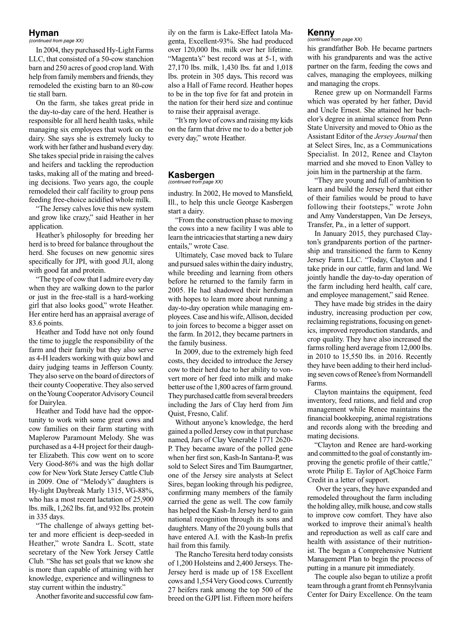# **Hyman**

*(continued from page XX)*

In 2004, they purchased Hy-Light Farms LLC, that consisted of a 50-cow stanchion barn and 250 acres of good crop land. With help from family members and friends, they remodeled the existing barn to an 80-cow tie stall barn.

On the farm, she takes great pride in the day-to-day care of the herd. Heather is responsible for all herd health tasks, while managing six employees that work on the dairy. She says she is extremely lucky to work with her father and husband every day. She takes special pride in raising the calves and heifers and tackling the reproduction tasks, making all of the mating and breeding decisions. Two years ago, the couple remodeled their calf facility to group pens feeding free-choice acidified whole milk.

"The Jersey calves love this new system and grow like crazy," said Heather in her application.

Heather's philosophy for breeding her herd is to breed for balance throughout the herd. She focuses on new genomic sires specifically for JPI, with good JUI, along with good fat and protein.

"The type of cow that I admire every day when they are walking down to the parlor or just in the free-stall is a hard-working girl that also looks good," wrote Heather. Her entire herd has an appraisal average of 83.6 points.

Heather and Todd have not only found the time to juggle the responsibility of the farm and their family but they also serve as 4-H leaders working with quiz bowl and dairy judging teams in Jefferson County. They also serve on the board of directors of their county Cooperative. They also served on the Young Cooperator Advisory Council for Dairylea.

Heather and Todd have had the opportunity to work with some great cows and cow families on their farm starting with Maplerow Paramount Melody. She was purchased as a 4-H project for their daughter Elizabeth. This cow went on to score Very Good-86% and was the high dollar cow for New York State Jersey Cattle Club in 2009. One of "Melody's" daughters is Hy-light Daybreak Marly 1315, VG-88%, who has a most recent lactation of 25,900 lbs. milk, 1,262 lbs. fat, and 932 lbs. protein in 335 days.

"The challenge of always getting better and more efficient is deep-seeded in Heather," wrote Sandra L. Scott, state secretary of the New York Jersey Cattle Club. "She has set goals that we know she is more than capable of attaining with her knowledge, experience and willingness to stay current within the industry."

Another favorite and successful cow fam-

ily on the farm is Lake-Effect Iatola Magenta, Excellent-93%. She had produced over 120,000 lbs. milk over her lifetime. "Magenta's" best record was at 5-1, with 27,170 lbs. milk, 1,430 lbs. fat and 1,018 lbs. protein in 305 days**.** This record was also a Hall of Fame record. Heather hopes to be in the top five for fat and protein in the nation for their herd size and continue to raise their appraisal average.

"It's my love of cows and raising my kids on the farm that drive me to do a better job every day," wrote Heather.

#### **Kasbergen** *(continued from page XX)*

industry. In 2002, He moved to Mansfield, Ill., to help this uncle George Kasbergen start a dairy.

"From the construction phase to moving the cows into a new facility I was able to learn the intricacies that starting a new dairy entails," wrote Case.

Ultimately, Case moved back to Tulare and pursued sales within the dairy industry, while breeding and learning from others before he returned to the family farm in 2005. He had shadowed their herdsman with hopes to learn more about running a day-to-day operation while managing employees. Case and his wife, Allison, decided to join forces to become a bigger asset on the farm. In 2012, they became partners in the family business.

In 2009, due to the extremely high feed costs, they decided to introduce the Jersey cow to their herd due to her ability to vonvert more of her feed into milk and make better use of the 1,800 acres of farm ground. They purchased cattle from several breeders including the Jars of Clay herd from Jim Quist, Fresno, Calif.

Without anyone's knowledge, the herd gained a polled Jersey cow in that purchase named, Jars of Clay Venerable 1771 2620- P. They became aware of the polled gene when her first son, Kash-In Santana-P, was sold to Select Sires and Tim Baumgartner, one of the Jersey sire analysts at Select Sires, began looking through his pedigree, confirming many members of the family carried the gene as well. The cow family has helped the Kash-In Jersey herd to gain national recognition through its sons and daughters. Many of the 20 young bulls that have entered A.I. with the Kash-In prefix hail from this family.

The Rancho Teresita herd today consists of 1,200 Holsteins and 2,400 Jerseys. The-Jersey herd is made up of 158 Excellent cows and 1,554 Very Good cows. Currently 27 heifers rank among the top 500 of the breed on the GJPI list. Fifteen more heifers

#### **Kenny** *(continued from page XX)*

his grandfather Bob. He became partners with his grandparents and was the active partner on the farm, feeding the cows and calves, managing the employees, milking and managing the crops.

Renee grew up on Normandell Farms which was operated by her father, David and Uncle Ernest. She attained her bachelor's degree in animal science from Penn State University and moved to Ohio as the Assistant Editor of the *Jersey Journal* then at Select Sires, Inc, as a Communications Specialist. In 2012, Renee and Clayton married and she moved to Enon Valley to join him in the partnership at the farm.

"They are young and full of ambition to learn and build the Jersey herd that either of their families would be proud to have following their footsteps," wrote John and Amy Vanderstappen, Van De Jerseys, Transfer, Pa., in a letter of support.

In January 2015, they purchased Clayton's grandparents portion of the partnership and transitioned the farm to Kenny Jersey Farm LLC. "Today, Clayton and I take pride in our cattle, farm and land. We jointly handle the day-to-day operation of the farm including herd health, calf care, and employee management," said Renee.

They have made big strides in the dairy industry, increasing production per cow, reclaiming registrations, focusing on genetics, improved reproduction standards, and crop quality. They have also increased the farms rolling herd average from 12,000 lbs. in 2010 to 15,550 lbs. in 2016. Recently they have been adding to their herd including seven cows of Renee's from Normandell Farms.

Clayton maintains the equipment, feed inventory, feed rations, and field and crop management while Renee maintains the financial bookkeeping, animal registrations and records along with the breeding and mating decisions.

"Clayton and Renee are hard-working and committed to the goal of constantly improving the genetic profile of their cattle," wrote Philip E. Taylor of AgChoice Farm Credit in a letter of support.

 Over the years, they have expanded and remodeled throughout the farm including the holding alley, milk house, and cow stalls to improve cow comfort. They have also worked to improve their animal's health and reproduction as well as calf care and health with assistance of their nutritionist. The began a Comprehensive Nutrient Management Plan to begin the process of putting in a manure pit immediately.

The couple also began to utilize a profit team through a grant fromt eh Pennsylvania Center for Dairy Excellence. On the team